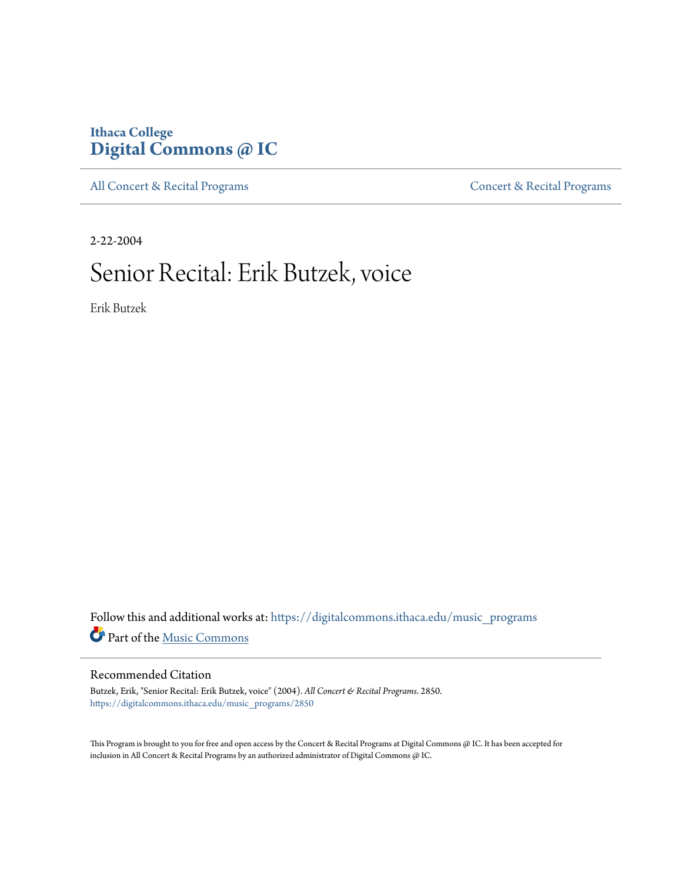### **Ithaca College [Digital Commons @ IC](https://digitalcommons.ithaca.edu?utm_source=digitalcommons.ithaca.edu%2Fmusic_programs%2F2850&utm_medium=PDF&utm_campaign=PDFCoverPages)**

[All Concert & Recital Programs](https://digitalcommons.ithaca.edu/music_programs?utm_source=digitalcommons.ithaca.edu%2Fmusic_programs%2F2850&utm_medium=PDF&utm_campaign=PDFCoverPages) **[Concert & Recital Programs](https://digitalcommons.ithaca.edu/som_programs?utm_source=digitalcommons.ithaca.edu%2Fmusic_programs%2F2850&utm_medium=PDF&utm_campaign=PDFCoverPages)** 

2-22-2004

## Senior Recital: Erik Butzek, voice

Erik Butzek

 ${\bf Follow~this~and~additional~works~at:~https://digitalcommons.ithaca.edu/music\_programs}$ Part of the [Music Commons](http://network.bepress.com/hgg/discipline/518?utm_source=digitalcommons.ithaca.edu%2Fmusic_programs%2F2850&utm_medium=PDF&utm_campaign=PDFCoverPages)

### Recommended Citation

Butzek, Erik, "Senior Recital: Erik Butzek, voice" (2004). *All Concert & Recital Programs*. 2850. [https://digitalcommons.ithaca.edu/music\\_programs/2850](https://digitalcommons.ithaca.edu/music_programs/2850?utm_source=digitalcommons.ithaca.edu%2Fmusic_programs%2F2850&utm_medium=PDF&utm_campaign=PDFCoverPages)

This Program is brought to you for free and open access by the Concert & Recital Programs at Digital Commons @ IC. It has been accepted for inclusion in All Concert & Recital Programs by an authorized administrator of Digital Commons @ IC.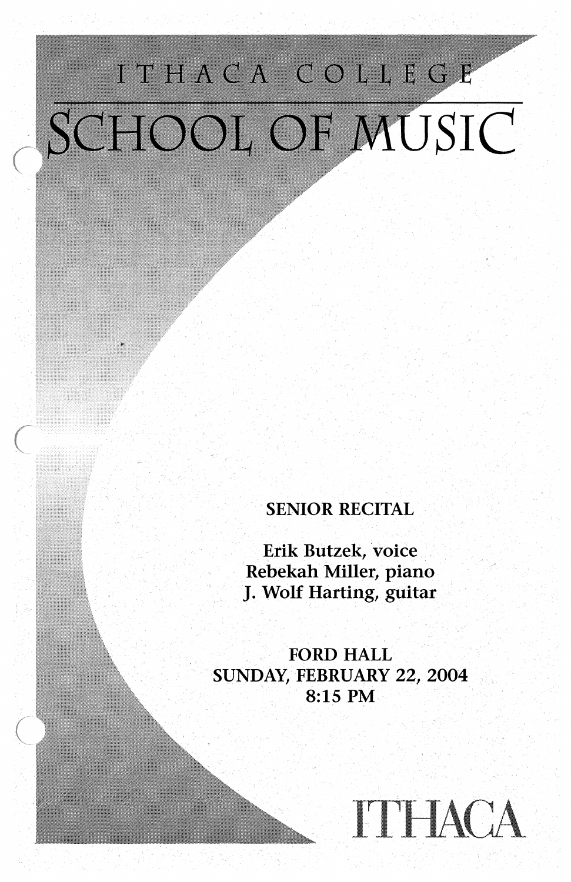# ITHACA COLLEGE SCHOOL OF MUSIC

**SENIOR RECITAL** 

Erik Butzek, voice ·Rebekah Miller, piano. J. Wolf Harting, guitar

FORD HALL SUNDAY, FEBRUARY 22, 2004 8:15 PM

 $\bigcirc$ 

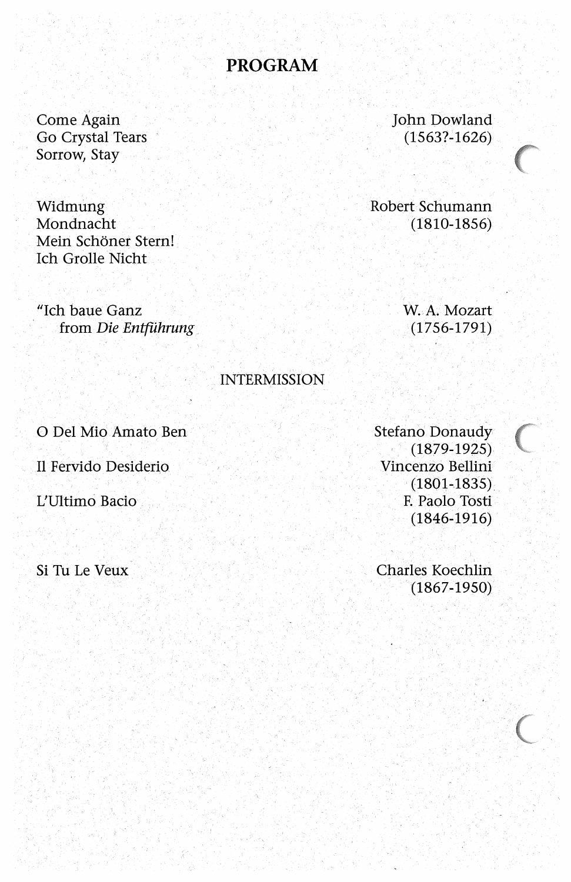### **PROGRAM**

Come Again Go Crystal Tears Sorrow, Stay

Widmung Mondnacht Mein Schöner Stern! Ich Grolle Nicht

"Ich baue Ganz from Die Entführung John Dowland  $(1563? - 1626)$ 

Robert Schumann  $(1810-1856)$ 

> W. A. Mozart  $(1756 - 1791)$

#### **INTERMISSION**

O Del Mio Amato Ben

Il Fervido Desiderio

L'Ultimo Bacio

Si Tu Le Veux

Stefano Donaudy  $(1879-1925)$ Vincenzo Bellini  $(1801 - 1835)$ F. Paolo Tosti  $(1846 - 1916)$ 

Charles Koechlin  $(1867-1950)$